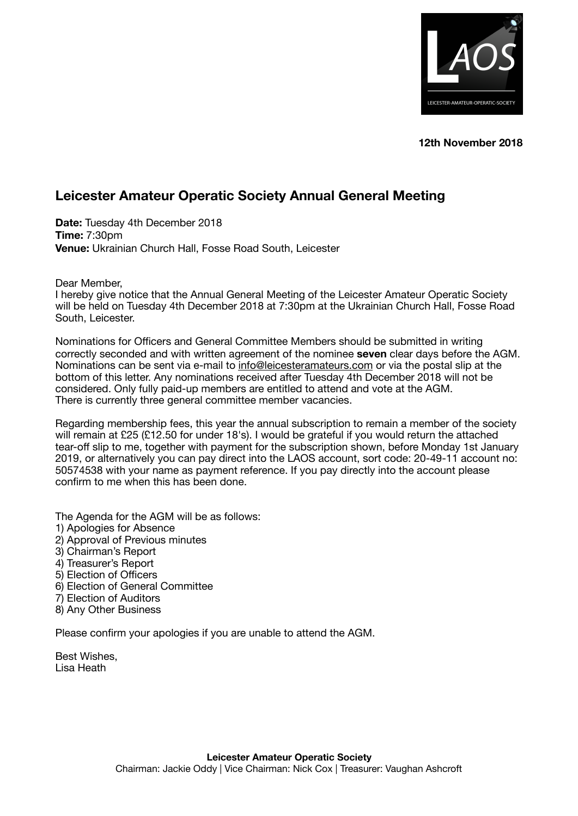

**12th November 2018** 

## **Leicester Amateur Operatic Society Annual General Meeting**

**Date:** Tuesday 4th December 2018 **Time:** 7:30pm **Venue:** Ukrainian Church Hall, Fosse Road South, Leicester

Dear Member,

I hereby give notice that the Annual General Meeting of the Leicester Amateur Operatic Society will be held on Tuesday 4th December 2018 at 7:30pm at the Ukrainian Church Hall, Fosse Road South, Leicester.

Nominations for Officers and General Committee Members should be submitted in writing correctly seconded and with written agreement of the nominee **seven** clear days before the AGM. Nominations can be sent via e-mail to [info@leicesteramateurs.com](mailto:info@leicesteramateurs.com) or via the postal slip at the bottom of this letter. Any nominations received after Tuesday 4th December 2018 will not be considered. Only fully paid-up members are entitled to attend and vote at the AGM. There is currently three general committee member vacancies.

Regarding membership fees, this year the annual subscription to remain a member of the society will remain at £25 (£12.50 for under 18's). I would be grateful if you would return the attached tear-off slip to me, together with payment for the subscription shown, before Monday 1st January 2019, or alternatively you can pay direct into the LAOS account, sort code: 20-49-11 account no: 50574538 with your name as payment reference. If you pay directly into the account please confirm to me when this has been done.

The Agenda for the AGM will be as follows: 1) Apologies for Absence 2) Approval of Previous minutes 3) Chairman's Report 4) Treasurer's Report 5) Election of Officers 6) Election of General Committee 7) Election of Auditors 8) Any Other Business

Please confirm your apologies if you are unable to attend the AGM.

Best Wishes, Lisa Heath